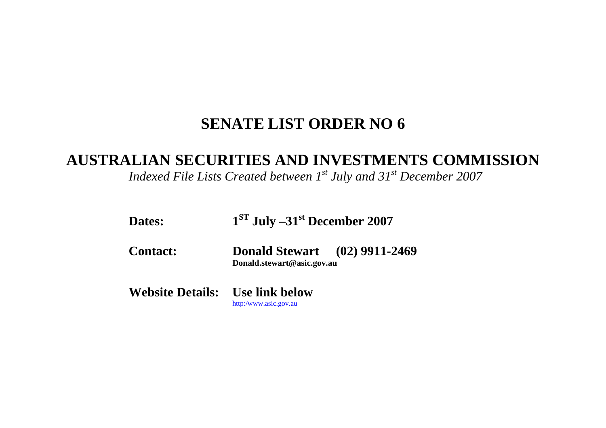## **SENATE LIST ORDER NO 6**

## **AUSTRALIAN SECURITIES AND INVESTMENTS COMMISSION**

*Indexed File Lists Created between 1st July and 31st December 2007* 

- Dates: 1<sup>ST</sup> July –31<sup>st</sup> December 2007
- **Contact: Donald Stewart (02) 9911-2469 Donald.stewart@asic.gov.au**

**Website Details: Use link below**  [http:/www.asic.gov.au](http://www.asic.gov.au/asic/asic.nsf/byid/CA256AE90002F4BFCA256AFB007AB8C1?opendocument)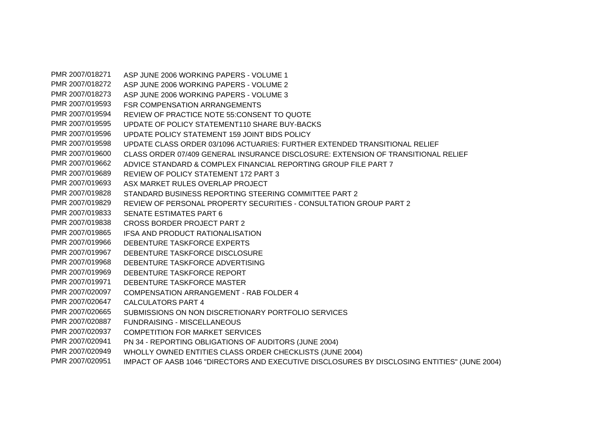PMR 2007/018271 ASP JUNE 2006 WORKING PAPERS - VOLUME 1 PMR 2007/018272 ASP JUNE 2006 WORKING PAPERS - VOLUME 2 PMR 2007/018273 ASP JUNE 2006 WORKING PAPERS - VOLUME 3 PMR 2007/019593 FSR COMPENSATION ARRANGEMENTS PMR 2007/019594 REVIEW OF PRACTICE NOTE 55:CONSENT TO QUOTE PMR 2007/019595 UPDATE OF POLICY STATEMENT110 SHARE BUY-BACKS PMR 2007/019596 UPDATE POLICY STATEMENT 159 JOINT BIDS POLICY PMR 2007/019598 UPDATE CLASS ORDER 03/1096 ACTUARIES: FURTHER EXTENDED TRANSITIONAL RELIEF PMR 2007/019600 CLASS ORDER 07/409 GENERAL INSURANCE DISCLOSURE: EXTENSION OF TRANSITIONAL RELIEF PMR 2007/019662 ADVICE STANDARD & COMPLEX FINANCIAL REPORTING GROUP FILE PART 7 PMR 2007/019689 REVIEW OF POLICY STATEMENT 172 PART 3 PMR 2007/019693 ASX MARKET RULES OVERLAP PROJECT PMR 2007/019828 STANDARD BUSINESS REPORTING STEERING COMMITTEE PART 2 PMR 2007/019829 REVIEW OF PERSONAL PROPERTY SECURITIES - CONSULTATION GROUP PART 2 PMR 2007/019833 SENATE ESTIMATES PART 6 PMR 2007/019838 CROSS BORDER PROJECT PART 2 PMR 2007/019865 IFSA AND PRODUCT RATIONALISATION PMR 2007/019966 DEBENTURE TASKFORCE EXPERTS PMR 2007/019967 DEBENTURE TASKFORCE DISCLOSURE PMR 2007/019968 DEBENTURE TASKFORCE ADVERTISING PMR 2007/019969 DEBENTURE TASKFORCE REPORT PMR 2007/019971 DEBENTURE TASKFORCE MASTER PMR 2007/020097 COMPENSATION ARRANGEMENT - RAB FOLDER 4 PMR 2007/020647 CALCULATORS PART 4 PMR 2007/020665 SUBMISSIONS ON NON DISCRETIONARY PORTFOLIO SERVICES PMR 2007/020887 FUNDRAISING - MISCELLANEOUS PMR 2007/020937 COMPETITION FOR MARKET SERVICES PMR 2007/020941 PN 34 - REPORTING OBLIGATIONS OF AUDITORS (JUNE 2004) PMR 2007/020949 WHOLLY OWNED ENTITIES CLASS ORDER CHECKLISTS (JUNE 2004) PMR 2007/020951 IMPACT OF AASB 1046 "DIRECTORS AND EXECUTIVE DISCLOSURES BY DISCLOSING ENTITIES" (JUNE 2004)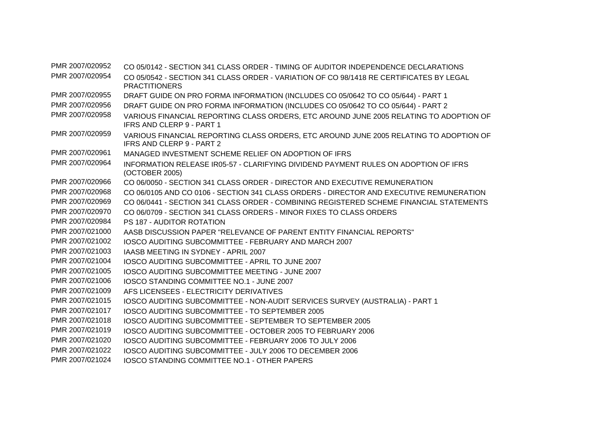| PMR 2007/020952 | CO 05/0142 - SECTION 341 CLASS ORDER - TIMING OF AUDITOR INDEPENDENCE DECLARATIONS                                         |
|-----------------|----------------------------------------------------------------------------------------------------------------------------|
| PMR 2007/020954 | CO 05/0542 - SECTION 341 CLASS ORDER - VARIATION OF CO 98/1418 RE CERTIFICATES BY LEGAL<br><b>PRACTITIONERS</b>            |
| PMR 2007/020955 | DRAFT GUIDE ON PRO FORMA INFORMATION (INCLUDES CO 05/0642 TO CO 05/644) - PART 1                                           |
| PMR 2007/020956 | DRAFT GUIDE ON PRO FORMA INFORMATION (INCLUDES CO 05/0642 TO CO 05/644) - PART 2                                           |
| PMR 2007/020958 | VARIOUS FINANCIAL REPORTING CLASS ORDERS, ETC AROUND JUNE 2005 RELATING TO ADOPTION OF<br>IFRS AND CLERP 9 - PART 1        |
| PMR 2007/020959 | VARIOUS FINANCIAL REPORTING CLASS ORDERS, ETC AROUND JUNE 2005 RELATING TO ADOPTION OF<br><b>IFRS AND CLERP 9 - PART 2</b> |
| PMR 2007/020961 | MANAGED INVESTMENT SCHEME RELIEF ON ADOPTION OF IFRS                                                                       |
| PMR 2007/020964 | INFORMATION RELEASE IR05-57 - CLARIFYING DIVIDEND PAYMENT RULES ON ADOPTION OF IFRS<br>(OCTOBER 2005)                      |
| PMR 2007/020966 | CO 06/0050 - SECTION 341 CLASS ORDER - DIRECTOR AND EXECUTIVE REMUNERATION                                                 |
| PMR 2007/020968 | CO 06/0105 AND CO 0106 - SECTION 341 CLASS ORDERS - DIRECTOR AND EXECUTIVE REMUNERATION                                    |
| PMR 2007/020969 | CO 06/0441 - SECTION 341 CLASS ORDER - COMBINING REGISTERED SCHEME FINANCIAL STATEMENTS                                    |
| PMR 2007/020970 | CO 06/0709 - SECTION 341 CLASS ORDERS - MINOR FIXES TO CLASS ORDERS                                                        |
| PMR 2007/020984 | PS 187 - AUDITOR ROTATION                                                                                                  |
| PMR 2007/021000 | AASB DISCUSSION PAPER "RELEVANCE OF PARENT ENTITY FINANCIAL REPORTS"                                                       |
| PMR 2007/021002 | <b>IOSCO AUDITING SUBCOMMITTEE - FEBRUARY AND MARCH 2007</b>                                                               |
| PMR 2007/021003 | <b>IAASB MEETING IN SYDNEY - APRIL 2007</b>                                                                                |
| PMR 2007/021004 | IOSCO AUDITING SUBCOMMITTEE - APRIL TO JUNE 2007                                                                           |
| PMR 2007/021005 | IOSCO AUDITING SUBCOMMITTEE MEETING - JUNE 2007                                                                            |
| PMR 2007/021006 | <b>IOSCO STANDING COMMITTEE NO.1 - JUNE 2007</b>                                                                           |
| PMR 2007/021009 | AFS LICENSEES - ELECTRICITY DERIVATIVES                                                                                    |
| PMR 2007/021015 | IOSCO AUDITING SUBCOMMITTEE - NON-AUDIT SERVICES SURVEY (AUSTRALIA) - PART 1                                               |
| PMR 2007/021017 | <b>IOSCO AUDITING SUBCOMMITTEE - TO SEPTEMBER 2005</b>                                                                     |
| PMR 2007/021018 | <b>IOSCO AUDITING SUBCOMMITTEE - SEPTEMBER TO SEPTEMBER 2005</b>                                                           |
| PMR 2007/021019 | IOSCO AUDITING SUBCOMMITTEE - OCTOBER 2005 TO FEBRUARY 2006                                                                |
| PMR 2007/021020 | <b>IOSCO AUDITING SUBCOMMITTEE - FEBRUARY 2006 TO JULY 2006</b>                                                            |
| PMR 2007/021022 | <b>IOSCO AUDITING SUBCOMMITTEE - JULY 2006 TO DECEMBER 2006</b>                                                            |
| PMR 2007/021024 | IOSCO STANDING COMMITTEE NO.1 - OTHER PAPERS                                                                               |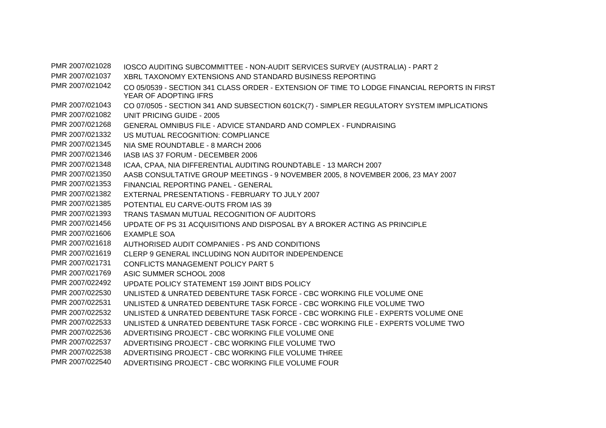PMR 2007/021028 IOSCO AUDITING SUBCOMMITTEE - NON-AUDIT SERVICES SURVEY (AUSTRALIA) - PART 2 PMR 2007/021037 XBRL TAXONOMY EXTENSIONS AND STANDARD BUSINESS REPORTING PMR 2007/021042 CO 05/0539 - SECTION 341 CLASS ORDER - EXTENSION OF TIME TO LODGE FINANCIAL REPORTS IN FIRST YEAR OF ADOPTING IFRS PMR 2007/021043 CO 07/0505 - SECTION 341 AND SUBSECTION 601CK(7) - SIMPLER REGULATORY SYSTEM IMPLICATIONS PMR 2007/021082 UNIT PRICING GUIDE - 2005 PMR 2007/021268 GENERAL OMNIBUS FILE - ADVICE STANDARD AND COMPLEX - FUNDRAISING PMR 2007/021332 US MUTUAL RECOGNITION: COMPLIANCE PMR 2007/021345 NIA SME ROUNDTABLE - 8 MARCH 2006 PMR 2007/021346 IASB IAS 37 FORUM - DECEMBER 2006 PMR 2007/021348 ICAA, CPAA, NIA DIFFERENTIAL AUDITING ROUNDTABLE - 13 MARCH 2007 PMR 2007/021350 AASB CONSULTATIVE GROUP MEETINGS - 9 NOVEMBER 2005, 8 NOVEMBER 2006, 23 MAY 2007 PMR 2007/021353 FINANCIAL REPORTING PANEL - GENERAL PMR 2007/021382 EXTERNAL PRESENTATIONS - FEBRUARY TO JULY 2007 PMR 2007/021385 POTENTIAL EU CARVE-OUTS FROM IAS 39 PMR 2007/021393 TRANS TASMAN MUTUAL RECOGNITION OF AUDITORS PMR 2007/021456 UPDATE OF PS 31 ACQUISITIONS AND DISPOSAL BY A BROKER ACTING AS PRINCIPLE PMR 2007/021606 EXAMPLE SOA PMR 2007/021618 AUTHORISED AUDIT COMPANIES - PS AND CONDITIONS PMR 2007/021619 CLERP 9 GENERAL INCLUDING NON AUDITOR INDEPENDENCE PMR 2007/021731 CONFLICTS MANAGEMENT POLICY PART 5 PMR 2007/021769 ASIC SUMMER SCHOOL 2008 PMR 2007/022492 UPDATE POLICY STATEMENT 159 JOINT BIDS POLICY PMR 2007/022530 UNLISTED & UNRATED DEBENTURE TASK FORCE - CBC WORKING FILE VOLUME ONE PMR 2007/022531 UNLISTED & UNRATED DEBENTURE TASK FORCE - CBC WORKING FILE VOLUME TWO PMR 2007/022532 UNLISTED & UNRATED DEBENTURE TASK FORCE - CBC WORKING FILE - EXPERTS VOLUME ONE PMR 2007/022533 UNLISTED & UNRATED DEBENTURE TASK FORCE - CBC WORKING FILE - EXPERTS VOLUME TWO PMR 2007/022536 ADVERTISING PROJECT - CBC WORKING FILE VOLUME ONE PMR 2007/022537 ADVERTISING PROJECT - CBC WORKING FILE VOLUME TWO PMR 2007/022538 ADVERTISING PROJECT - CBC WORKING FILE VOLUME THREE PMR 2007/022540 ADVERTISING PROJECT - CBC WORKING FILE VOLUME FOUR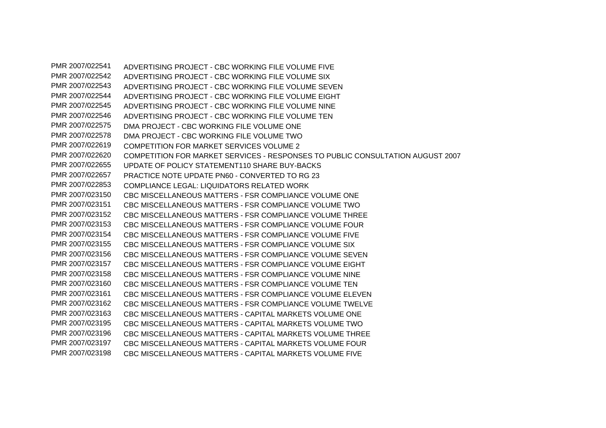PMR 2007/022541 ADVERTISING PROJECT - CBC WORKING FILE VOLUME FIVE PMR 2007/022542 ADVERTISING PROJECT - CBC WORKING FILE VOLUME SIX PMR 2007/022543 ADVERTISING PROJECT - CBC WORKING FILE VOLUME SEVEN PMR 2007/022544 ADVERTISING PROJECT - CBC WORKING FILE VOLUME EIGHT PMR 2007/022545 ADVERTISING PROJECT - CBC WORKING FILE VOLUME NINE PMR 2007/022546 ADVERTISING PROJECT - CBC WORKING FILE VOLUME TEN PMR 2007/022575 DMA PROJECT - CBC WORKING FILE VOLUME ONE PMR 2007/022578 DMA PROJECT - CBC WORKING FILE VOLUME TWO PMR 2007/022619 COMPETITION FOR MARKET SERVICES VOLUME 2 PMR 2007/022620 COMPETITION FOR MARKET SERVICES - RESPONSES TO PUBLIC CONSULTATION AUGUST 2007 PMR 2007/022655 UPDATE OF POLICY STATEMENT110 SHARE BUY-BACKS PMR 2007/022657 PRACTICE NOTE UPDATE PN60 - CONVERTED TO RG 23 PMR 2007/022853 COMPLIANCE LEGAL: LIQUIDATORS RELATED WORK PMR 2007/023150 CBC MISCELLANEOUS MATTERS - FSR COMPLIANCE VOLUME ONE PMR 2007/023151 CBC MISCELLANEOUS MATTERS - FSR COMPLIANCE VOLUME TWO PMR 2007/023152 CBC MISCELLANEOUS MATTERS - FSR COMPLIANCE VOLUME THREE PMR 2007/023153 CBC MISCELLANEOUS MATTERS - FSR COMPLIANCE VOLUME FOUR PMR 2007/023154 CBC MISCELLANEOUS MATTERS - FSR COMPLIANCE VOLUME FIVE PMR 2007/023155 CBC MISCELLANEOUS MATTERS - FSR COMPLIANCE VOLUME SIX PMR 2007/023156 CBC MISCELLANEOUS MATTERS - FSR COMPLIANCE VOLUME SEVEN PMR 2007/023157 CBC MISCELLANEOUS MATTERS - FSR COMPLIANCE VOLUME EIGHT PMR 2007/023158 CBC MISCELLANEOUS MATTERS - FSR COMPLIANCE VOLUME NINE PMR 2007/023160 CBC MISCELLANEOUS MATTERS - FSR COMPLIANCE VOLUME TEN PMR 2007/023161 CBC MISCELLANEOUS MATTERS - FSR COMPLIANCE VOLUME ELEVEN PMR 2007/023162 CBC MISCELLANEOUS MATTERS - FSR COMPLIANCE VOLUME TWELVE PMR 2007/023163 CBC MISCELLANEOUS MATTERS - CAPITAL MARKETS VOLUME ONE PMR 2007/023195 CBC MISCELLANEOUS MATTERS - CAPITAL MARKETS VOLUME TWO PMR 2007/023196 CBC MISCELLANEOUS MATTERS - CAPITAL MARKETS VOLUME THREE PMR 2007/023197 CBC MISCELLANEOUS MATTERS - CAPITAL MARKETS VOLUME FOUR PMR 2007/023198 CBC MISCELLANEOUS MATTERS - CAPITAL MARKETS VOLUME FIVE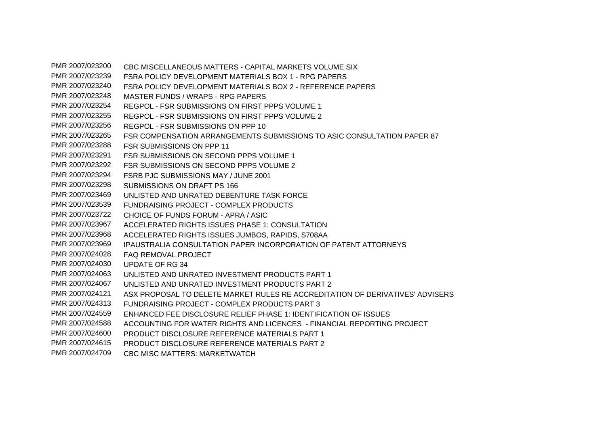PMR 2007/023200 CBC MISCELLANEOUS MATTERS - CAPITAL MARKETS VOLUME SIX PMR 2007/023239 FSRA POLICY DEVELOPMENT MATERIALS BOX 1 - RPG PAPERS PMR 2007/023240 FSRA POLICY DEVELOPMENT MATERIALS BOX 2 - REFERENCE PAPERS PMR 2007/023248 MASTER FUNDS / WRAPS - RPG PAPERS PMR 2007/023254 REGPOL - FSR SUBMISSIONS ON FIRST PPPS VOLUME 1 PMR 2007/023255 REGPOL - FSR SUBMISSIONS ON FIRST PPPS VOLUME 2 PMR 2007/023256 REGPOL - FSR SUBMISSIONS ON PPP 10 PMR 2007/023265 FSR COMPENSATION ARRANGEMENTS SUBMISSIONS TO ASIC CONSULTATION PAPER 87 PMR 2007/023288 FSR SUBMISSIONS ON PPP 11 PMR 2007/023291 FSR SUBMISSIONS ON SECOND PPPS VOLUME 1 PMR 2007/023292 FSR SUBMISSIONS ON SECOND PPPS VOLUME 2 PMR 2007/023294 FSRB PJC SUBMISSIONS MAY / JUNE 2001 PMR 2007/023298 SUBMISSIONS ON DRAFT PS 166 PMR 2007/023469 UNLISTED AND UNRATED DEBENTURE TASK FORCE PMR 2007/023539 FUNDRAISING PROJECT - COMPLEX PRODUCTS PMR 2007/023722 CHOICE OF FUNDS FORUM - APRA / ASIC PMR 2007/023967 ACCELERATED RIGHTS ISSUES PHASE 1: CONSULTATION PMR 2007/023968 ACCELERATED RIGHTS ISSUES JUMBOS, RAPIDS, S708AA PMR 2007/023969 IPAUSTRALIA CONSULTATION PAPER INCORPORATION OF PATENT ATTORNEYS PMR 2007/024028 FAQ REMOVAL PROJECT PMR 2007/024030 UPDATE OF RG 34 PMR 2007/024063 UNLISTED AND UNRATED INVESTMENT PRODUCTS PART 1 PMR 2007/024067 UNLISTED AND UNRATED INVESTMENT PRODUCTS PART 2 PMR 2007/024121 ASX PROPOSAL TO DELETE MARKET RULES RE ACCREDITATION OF DERIVATIVES' ADVISERS PMR 2007/024313 FUNDRAISING PROJECT - COMPLEX PRODUCTS PART 3 PMR 2007/024559 ENHANCED FEE DISCLOSURE RELIEF PHASE 1: IDENTIFICATION OF ISSUES PMR 2007/024588 ACCOUNTING FOR WATER RIGHTS AND LICENCES - FINANCIAL REPORTING PROJECT PMR 2007/024600 PRODUCT DISCLOSURE REFERENCE MATERIALS PART 1 PMR 2007/024615 PRODUCT DISCLOSURE REFERENCE MATERIALS PART 2 PMR 2007/024709 CBC MISC MATTERS: MARKETWATCH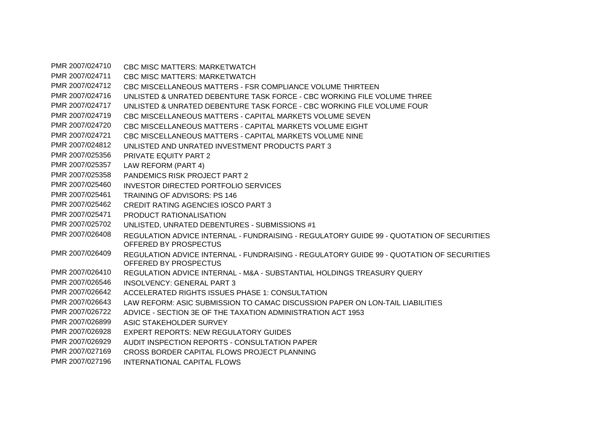PMR 2007/024710 CBC MISC MATTERS: MARKETWATCH PMR 2007/024711 CBC MISC MATTERS: MARKETWATCH PMR 2007/024712 CBC MISCELLANEOUS MATTERS - FSR COMPLIANCE VOLUME THIRTEEN PMR 2007/024716 UNLISTED & UNRATED DEBENTURE TASK FORCE - CBC WORKING FILE VOLUME THREE PMR 2007/024717 UNLISTED & UNRATED DEBENTURE TASK FORCE - CBC WORKING FILE VOLUME FOUR PMR 2007/024719 CBC MISCELLANEOUS MATTERS - CAPITAL MARKETS VOLUME SEVEN PMR 2007/024720 CBC MISCELLANEOUS MATTERS - CAPITAL MARKETS VOLUME EIGHT PMR 2007/024721 CBC MISCELLANEOUS MATTERS - CAPITAL MARKETS VOLUME NINE PMR 2007/024812 UNLISTED AND UNRATED INVESTMENT PRODUCTS PART 3 PMR 2007/025356 PRIVATE EQUITY PART 2 PMR 2007/025357 LAW REFORM (PART 4) PMR 2007/025358 PANDEMICS RISK PROJECT PART 2 PMR 2007/025460 INVESTOR DIRECTED PORTFOLIO SERVICES PMR 2007/025461 TRAINING OF ADVISORS: PS 146 PMR 2007/025462 CREDIT RATING AGENCIES IOSCO PART 3 PMR 2007/025471 PRODUCT RATIONAL ISATION PMR 2007/025702 UNLISTED, UNRATED DEBENTURES - SUBMISSIONS #1 PMR 2007/026408 REGULATION ADVICE INTERNAL - FUNDRAISING - REGULATORY GUIDE 99 - QUOTATION OF SECURITIES OFFERED BY PROSPECTUS PMR 2007/026409 REGULATION ADVICE INTERNAL - FUNDRAISING - REGULATORY GUIDE 99 - QUOTATION OF SECURITIES OFFERED BY PROSPECTUS PMR 2007/026410 REGULATION ADVICE INTERNAL - M&A - SUBSTANTIAL HOLDINGS TREASURY QUERY PMR 2007/026546 INSOLVENCY: GENERAL PART 3 PMR 2007/026642 ACCELERATED RIGHTS ISSUES PHASE 1: CONSULTATION PMR 2007/026643 LAW REFORM: ASIC SUBMISSION TO CAMAC DISCUSSION PAPER ON LON-TAIL LIABILITIES PMR 2007/026722 ADVICE - SECTION 3E OF THE TAXATION ADMINISTRATION ACT 1953 PMR 2007/026899 ASIC STAKEHOLDER SURVEY PMR 2007/026928 EXPERT REPORTS: NEW REGULATORY GUIDES PMR 2007/026929 AUDIT INSPECTION REPORTS - CONSULTATION PAPER PMR 2007/027169 CROSS BORDER CAPITAL FLOWS PROJECT PLANNING PMR 2007/027196 INTERNATIONAL CAPITAL FLOWS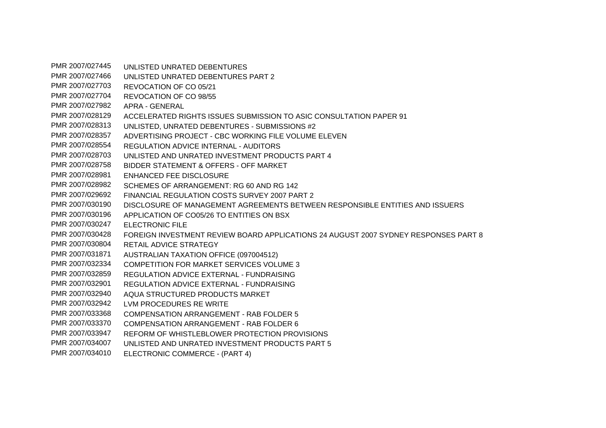PMR 2007/027445 UNLISTED UNRATED DEBENTURES PMR 2007/027466 UNLISTED UNRATED DEBENTURES PART 2 PMR 2007/027703 REVOCATION OF CO 05/21 PMR 2007/027704 REVOCATION OF CO 98/55 PMR 2007/027982 APRA - GENERAL PMR 2007/028129 ACCELERATED RIGHTS ISSUES SUBMISSION TO ASIC CONSULTATION PAPER 91 PMR 2007/028313 UNLISTED, UNRATED DEBENTURES - SUBMISSIONS #2 PMR 2007/028357 ADVERTISING PROJECT - CBC WORKING FILE VOLUME ELEVEN PMR 2007/028554 REGULATION ADVICE INTERNAL - AUDITORS PMR 2007/028703 UNLISTED AND UNRATED INVESTMENT PRODUCTS PART 4 PMR 2007/028758 BIDDER STATEMENT & OFFERS - OFF MARKET PMR 2007/028981 ENHANCED FEE DISCLOSURE PMR 2007/028982 SCHEMES OF ARRANGEMENT: RG 60 AND RG 142 PMR 2007/029692 FINANCIAL REGULATION COSTS SURVEY 2007 PART 2 PMR 2007/030190 DISCLOSURE OF MANAGEMENT AGREEMENTS BETWEEN RESPONSIBLE ENTITIES AND ISSUERS PMR 2007/030196 APPLICATION OF CO05/26 TO ENTITIES ON BSX PMR 2007/030247 ELECTRONIC FILE PMR 2007/030428 FOREIGN INVESTMENT REVIEW BOARD APPLICATIONS 24 AUGUST 2007 SYDNEY RESPONSES PART 8 PMR 2007/030804 RETAIL ADVICE STRATEGY PMR 2007/031871 AUSTRALIAN TAXATION OFFICE (097004512) PMR 2007/032334 COMPETITION FOR MARKET SERVICES VOLUME 3 PMR 2007/032859 REGULATION ADVICE EXTERNAL - FUNDRAISING PMR 2007/032901 REGULATION ADVICE EXTERNAL - FUNDRAISING PMR 2007/032940 AQUA STRUCTURED PRODUCTS MARKET PMR 2007/032942 LVM PROCEDURES RE WRITE PMR 2007/033368 COMPENSATION ARRANGEMENT - RAB FOLDER 5 PMR 2007/033370 COMPENSATION ARRANGEMENT - RAB FOLDER 6 PMR 2007/033947 REFORM OF WHISTLEBLOWER PROTECTION PROVISIONS PMR 2007/034007 UNLISTED AND UNRATED INVESTMENT PRODUCTS PART 5 PMR 2007/034010 ELECTRONIC COMMERCE - (PART 4)